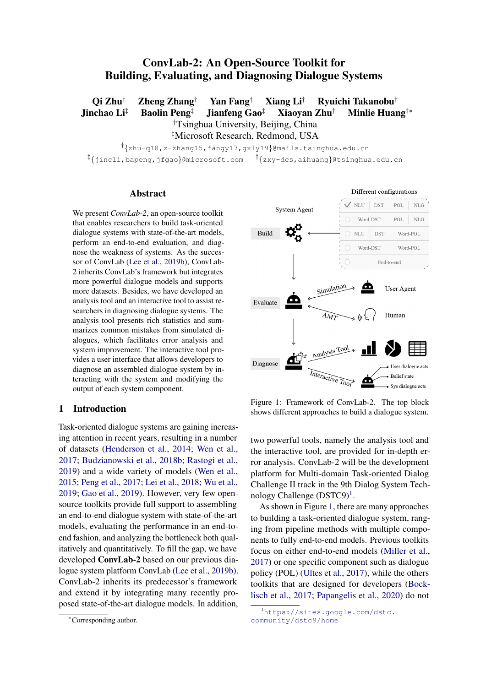# ConvLab-2: An Open-Source Toolkit for Building, Evaluating, and Diagnosing Dialogue Systems

Qi Zhu† Zheng Zhang† Yan Fang† Xiang Li† Ryuichi Takanobu† Jinchao Li‡ Baolin Peng‡ Jianfeng Gao‡ Xiaoyan Zhu† Minlie Huang†∗ †Tsinghua University, Beijing, China ‡Microsoft Research, Redmond, USA

† {zhu-q18,z-zhang15,fangy17,gxly19}@mails.tsinghua.edu.cn ‡ {jincli,bapeng,jfgao}@microsoft.com † {zxy-dcs,aihuang}@tsinghua.edu.cn

#### Abstract

We present *ConvLab-2*, an open-source toolkit that enables researchers to build task-oriented dialogue systems with state-of-the-art models, perform an end-to-end evaluation, and diagnose the weakness of systems. As the successor of ConvLab [\(Lee et al.,](#page-6-0) [2019b\)](#page-6-0), ConvLab-2 inherits ConvLab's framework but integrates more powerful dialogue models and supports more datasets. Besides, we have developed an analysis tool and an interactive tool to assist researchers in diagnosing dialogue systems. The analysis tool presents rich statistics and summarizes common mistakes from simulated dialogues, which facilitates error analysis and system improvement. The interactive tool provides a user interface that allows developers to diagnose an assembled dialogue system by interacting with the system and modifying the output of each system component.

#### 1 Introduction

Task-oriented dialogue systems are gaining increasing attention in recent years, resulting in a number of datasets [\(Henderson et al.,](#page-6-1) [2014;](#page-6-1) [Wen et al.,](#page-7-0) [2017;](#page-7-0) [Budzianowski et al.,](#page-6-2) [2018b;](#page-6-2) [Rastogi et al.,](#page-7-1) [2019\)](#page-7-1) and a wide variety of models [\(Wen et al.,](#page-7-2) [2015;](#page-7-2) [Peng et al.,](#page-6-3) [2017;](#page-6-3) [Lei et al.,](#page-6-4) [2018;](#page-6-4) [Wu et al.,](#page-7-3) [2019;](#page-7-3) [Gao et al.,](#page-6-5) [2019\)](#page-6-5). However, very few opensource toolkits provide full support to assembling an end-to-end dialogue system with state-of-the-art models, evaluating the performance in an end-toend fashion, and analyzing the bottleneck both qualitatively and quantitatively. To fill the gap, we have developed ConvLab-2 based on our previous dialogue system platform ConvLab [\(Lee et al.,](#page-6-0) [2019b\)](#page-6-0). ConvLab-2 inherits its predecessor's framework and extend it by integrating many recently proposed state-of-the-art dialogue models. In addition,

<span id="page-0-1"></span>

Figure 1: Framework of ConvLab-2. The top block shows different approaches to build a dialogue system.

two powerful tools, namely the analysis tool and the interactive tool, are provided for in-depth error analysis. ConvLab-2 will be the development platform for Multi-domain Task-oriented Dialog Challenge II track in the 9th Dialog System Tech-nology Challenge (DSTC9)<sup>[1](#page-0-0)</sup>.

As shown in Figure [1,](#page-0-1) there are many approaches to building a task-oriented dialogue system, ranging from pipeline methods with multiple components to fully end-to-end models. Previous toolkits focus on either end-to-end models [\(Miller et al.,](#page-6-6) [2017\)](#page-6-6) or one specific component such as dialogue policy (POL) [\(Ultes et al.,](#page-7-4) [2017\)](#page-7-4), while the others toolkits that are designed for developers [\(Bock](#page-6-7)[lisch et al.,](#page-6-7) [2017;](#page-6-7) [Papangelis et al.,](#page-6-8) [2020\)](#page-6-8) do not

<sup>∗</sup>Corresponding author.

<span id="page-0-0"></span><sup>1</sup>[https://sites.google.com/dstc.](https://sites.google.com/dstc.community/dstc9/home) [community/dstc9/home](https://sites.google.com/dstc.community/dstc9/home)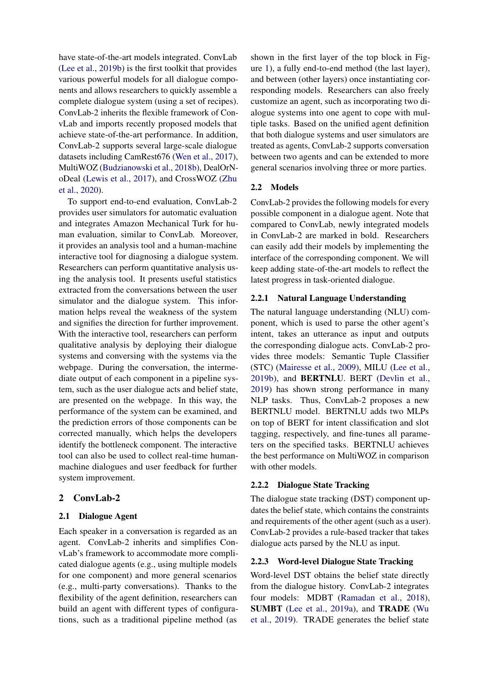have state-of-the-art models integrated. ConvLab [\(Lee et al.,](#page-6-0) [2019b\)](#page-6-0) is the first toolkit that provides various powerful models for all dialogue components and allows researchers to quickly assemble a complete dialogue system (using a set of recipes). ConvLab-2 inherits the flexible framework of ConvLab and imports recently proposed models that achieve state-of-the-art performance. In addition, ConvLab-2 supports several large-scale dialogue datasets including CamRest676 [\(Wen et al.,](#page-7-0) [2017\)](#page-7-0), MultiWOZ [\(Budzianowski et al.,](#page-6-2) [2018b\)](#page-6-2), DealOrNoDeal [\(Lewis et al.,](#page-6-9) [2017\)](#page-6-9), and CrossWOZ [\(Zhu](#page-7-5) [et al.,](#page-7-5) [2020\)](#page-7-5).

To support end-to-end evaluation, ConvLab-2 provides user simulators for automatic evaluation and integrates Amazon Mechanical Turk for human evaluation, similar to ConvLab. Moreover, it provides an analysis tool and a human-machine interactive tool for diagnosing a dialogue system. Researchers can perform quantitative analysis using the analysis tool. It presents useful statistics extracted from the conversations between the user simulator and the dialogue system. This information helps reveal the weakness of the system and signifies the direction for further improvement. With the interactive tool, researchers can perform qualitative analysis by deploying their dialogue systems and conversing with the systems via the webpage. During the conversation, the intermediate output of each component in a pipeline system, such as the user dialogue acts and belief state, are presented on the webpage. In this way, the performance of the system can be examined, and the prediction errors of those components can be corrected manually, which helps the developers identify the bottleneck component. The interactive tool can also be used to collect real-time humanmachine dialogues and user feedback for further system improvement.

### 2 ConvLab-2

### 2.1 Dialogue Agent

Each speaker in a conversation is regarded as an agent. ConvLab-2 inherits and simplifies ConvLab's framework to accommodate more complicated dialogue agents (e.g., using multiple models for one component) and more general scenarios (e.g., multi-party conversations). Thanks to the flexibility of the agent definition, researchers can build an agent with different types of configurations, such as a traditional pipeline method (as

shown in the first layer of the top block in Figure [1\)](#page-0-1), a fully end-to-end method (the last layer), and between (other layers) once instantiating corresponding models. Researchers can also freely customize an agent, such as incorporating two dialogue systems into one agent to cope with multiple tasks. Based on the unified agent definition that both dialogue systems and user simulators are treated as agents, ConvLab-2 supports conversation between two agents and can be extended to more general scenarios involving three or more parties.

### 2.2 Models

ConvLab-2 provides the following models for every possible component in a dialogue agent. Note that compared to ConvLab, newly integrated models in ConvLab-2 are marked in bold. Researchers can easily add their models by implementing the interface of the corresponding component. We will keep adding state-of-the-art models to reflect the latest progress in task-oriented dialogue.

#### 2.2.1 Natural Language Understanding

The natural language understanding (NLU) component, which is used to parse the other agent's intent, takes an utterance as input and outputs the corresponding dialogue acts. ConvLab-2 provides three models: Semantic Tuple Classifier (STC) [\(Mairesse et al.,](#page-6-10) [2009\)](#page-6-10), MILU [\(Lee et al.,](#page-6-0) [2019b\)](#page-6-0), and BERTNLU. BERT [\(Devlin et al.,](#page-6-11) [2019\)](#page-6-11) has shown strong performance in many NLP tasks. Thus, ConvLab-2 proposes a new BERTNLU model. BERTNLU adds two MLPs on top of BERT for intent classification and slot tagging, respectively, and fine-tunes all parameters on the specified tasks. BERTNLU achieves the best performance on MultiWOZ in comparison with other models.

### 2.2.2 Dialogue State Tracking

The dialogue state tracking (DST) component updates the belief state, which contains the constraints and requirements of the other agent (such as a user). ConvLab-2 provides a rule-based tracker that takes dialogue acts parsed by the NLU as input.

#### 2.2.3 Word-level Dialogue State Tracking

Word-level DST obtains the belief state directly from the dialogue history. ConvLab-2 integrates four models: MDBT [\(Ramadan et al.,](#page-6-12) [2018\)](#page-6-12), SUMBT [\(Lee et al.,](#page-6-13) [2019a\)](#page-6-13), and TRADE [\(Wu](#page-7-3) [et al.,](#page-7-3) [2019\)](#page-7-3). TRADE generates the belief state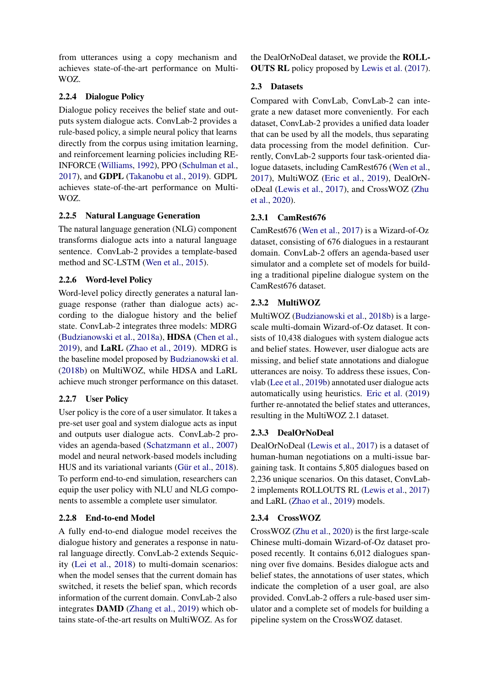from utterances using a copy mechanism and achieves state-of-the-art performance on Multi-WOZ.

# 2.2.4 Dialogue Policy

Dialogue policy receives the belief state and outputs system dialogue acts. ConvLab-2 provides a rule-based policy, a simple neural policy that learns directly from the corpus using imitation learning, and reinforcement learning policies including RE-INFORCE [\(Williams,](#page-7-6) [1992\)](#page-7-6), PPO [\(Schulman et al.,](#page-7-7) [2017\)](#page-7-7), and GDPL [\(Takanobu et al.,](#page-7-8) [2019\)](#page-7-8). GDPL achieves state-of-the-art performance on Multi-WOZ.

# 2.2.5 Natural Language Generation

The natural language generation (NLG) component transforms dialogue acts into a natural language sentence. ConvLab-2 provides a template-based method and SC-LSTM [\(Wen et al.,](#page-7-2) [2015\)](#page-7-2).

# 2.2.6 Word-level Policy

Word-level policy directly generates a natural language response (rather than dialogue acts) according to the dialogue history and the belief state. ConvLab-2 integrates three models: MDRG [\(Budzianowski et al.,](#page-6-14) [2018a\)](#page-6-14), HDSA [\(Chen et al.,](#page-6-15) [2019\)](#page-6-15), and LaRL [\(Zhao et al.,](#page-7-9) [2019\)](#page-7-9). MDRG is the baseline model proposed by [Budzianowski et al.](#page-6-2) [\(2018b\)](#page-6-2) on MultiWOZ, while HDSA and LaRL achieve much stronger performance on this dataset.

# 2.2.7 User Policy

User policy is the core of a user simulator. It takes a pre-set user goal and system dialogue acts as input and outputs user dialogue acts. ConvLab-2 provides an agenda-based [\(Schatzmann et al.,](#page-7-10) [2007\)](#page-7-10) model and neural network-based models including HUS and its variational variants (Gür et al., [2018\)](#page-6-16). To perform end-to-end simulation, researchers can equip the user policy with NLU and NLG components to assemble a complete user simulator.

### 2.2.8 End-to-end Model

A fully end-to-end dialogue model receives the dialogue history and generates a response in natural language directly. ConvLab-2 extends Sequicity [\(Lei et al.,](#page-6-4) [2018\)](#page-6-4) to multi-domain scenarios: when the model senses that the current domain has switched, it resets the belief span, which records information of the current domain. ConvLab-2 also integrates DAMD [\(Zhang et al.,](#page-7-11) [2019\)](#page-7-11) which obtains state-of-the-art results on MultiWOZ. As for

the DealOrNoDeal dataset, we provide the ROLL-OUTS RL policy proposed by [Lewis et al.](#page-6-9) [\(2017\)](#page-6-9).

### 2.3 Datasets

Compared with ConvLab, ConvLab-2 can integrate a new dataset more conveniently. For each dataset, ConvLab-2 provides a unified data loader that can be used by all the models, thus separating data processing from the model definition. Currently, ConvLab-2 supports four task-oriented dialogue datasets, including CamRest676 [\(Wen et al.,](#page-7-0) [2017\)](#page-7-0), MultiWOZ [\(Eric et al.,](#page-6-17) [2019\)](#page-6-17), DealOrNoDeal [\(Lewis et al.,](#page-6-9) [2017\)](#page-6-9), and CrossWOZ [\(Zhu](#page-7-5) [et al.,](#page-7-5) [2020\)](#page-7-5).

# 2.3.1 CamRest676

CamRest676 [\(Wen et al.,](#page-7-0) [2017\)](#page-7-0) is a Wizard-of-Oz dataset, consisting of 676 dialogues in a restaurant domain. ConvLab-2 offers an agenda-based user simulator and a complete set of models for building a traditional pipeline dialogue system on the CamRest676 dataset.

# 2.3.2 MultiWOZ

MultiWOZ [\(Budzianowski et al.,](#page-6-2) [2018b\)](#page-6-2) is a largescale multi-domain Wizard-of-Oz dataset. It consists of 10,438 dialogues with system dialogue acts and belief states. However, user dialogue acts are missing, and belief state annotations and dialogue utterances are noisy. To address these issues, Convlab [\(Lee et al.,](#page-6-0) [2019b\)](#page-6-0) annotated user dialogue acts automatically using heuristics. [Eric et al.](#page-6-17) [\(2019\)](#page-6-17) further re-annotated the belief states and utterances, resulting in the MultiWOZ 2.1 dataset.

### 2.3.3 DealOrNoDeal

DealOrNoDeal [\(Lewis et al.,](#page-6-9) [2017\)](#page-6-9) is a dataset of human-human negotiations on a multi-issue bargaining task. It contains 5,805 dialogues based on 2,236 unique scenarios. On this dataset, ConvLab-2 implements ROLLOUTS RL [\(Lewis et al.,](#page-6-9) [2017\)](#page-6-9) and LaRL [\(Zhao et al.,](#page-7-9) [2019\)](#page-7-9) models.

### 2.3.4 CrossWOZ

CrossWOZ [\(Zhu et al.,](#page-7-5) [2020\)](#page-7-5) is the first large-scale Chinese multi-domain Wizard-of-Oz dataset proposed recently. It contains 6,012 dialogues spanning over five domains. Besides dialogue acts and belief states, the annotations of user states, which indicate the completion of a user goal, are also provided. ConvLab-2 offers a rule-based user simulator and a complete set of models for building a pipeline system on the CrossWOZ dataset.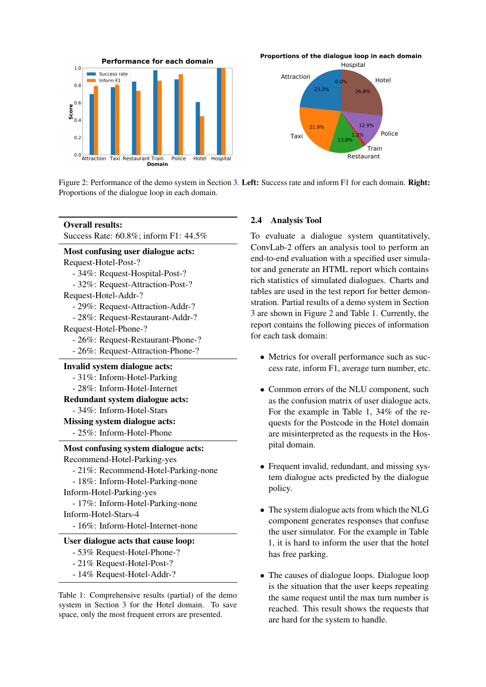<span id="page-3-0"></span>



Figure 2: Performance of the demo system in Section [3.](#page-4-0) Left: Success rate and inform F1 for each domain. Right: Proportions of the dialogue loop in each domain.

<span id="page-3-1"></span>

| <b>Overall results:</b>                   |  |  |
|-------------------------------------------|--|--|
| Success Rate: 60.8%; inform F1: 44.5%     |  |  |
| <b>Most confusing user dialogue acts:</b> |  |  |
| Request-Hotel-Post-?                      |  |  |
| - 34%: Request-Hospital-Post-?            |  |  |
| - 32%: Request-Attraction-Post-?          |  |  |
| Request-Hotel-Addr-?                      |  |  |
| - 29%: Request-Attraction-Addr-?          |  |  |
| - 28%: Request-Restaurant-Addr-?          |  |  |
| Request-Hotel-Phone-?                     |  |  |
| - 26%: Request-Restaurant-Phone-?         |  |  |
| - 26%: Request-Attraction-Phone-?         |  |  |
| Invalid system dialogue acts:             |  |  |
| - 31%: Inform-Hotel-Parking               |  |  |
| - 28%: Inform-Hotel-Internet              |  |  |
| Redundant system dialogue acts:           |  |  |
| - 34%: Inform-Hotel-Stars                 |  |  |
| <b>Missing system dialogue acts:</b>      |  |  |
| - 25%: Inform-Hotel-Phone                 |  |  |
| Most confusing system dialogue acts:      |  |  |
| Recommend-Hotel-Parking-yes               |  |  |
| - 21%: Recommend-Hotel-Parking-none       |  |  |
| - 18%: Inform-Hotel-Parking-none          |  |  |
| Inform-Hotel-Parking-yes                  |  |  |
| - 17%: Inform-Hotel-Parking-none          |  |  |
| Inform-Hotel-Stars-4                      |  |  |
| - 16%: Inform-Hotel-Internet-none         |  |  |
| User dialogue acts that cause loop:       |  |  |
| - 53% Request-Hotel-Phone-?               |  |  |
| - 21% Request-Hotel-Post-?                |  |  |
| - 14% Request-Hotel-Addr-?                |  |  |

Table 1: Comprehensive results (partial) of the demo system in Section [3](#page-4-0) for the Hotel domain. To save space, only the most frequent errors are presented.

#### 2.4 Analysis Tool

To evaluate a dialogue system quantitatively, ConvLab-2 offers an analysis tool to perform an end-to-end evaluation with a specified user simulator and generate an HTML report which contains rich statistics of simulated dialogues. Charts and tables are used in the test report for better demonstration. Partial results of a demo system in Section [3](#page-4-0) are shown in Figure [2](#page-3-0) and Table [1.](#page-3-1) Currently, the report contains the following pieces of information for each task domain:

- Metrics for overall performance such as success rate, inform F1, average turn number, etc.
- Common errors of the NLU component, such as the confusion matrix of user dialogue acts. For the example in Table [1,](#page-3-1) 34% of the requests for the Postcode in the Hotel domain are misinterpreted as the requests in the Hospital domain.
- Frequent invalid, redundant, and missing system dialogue acts predicted by the dialogue policy.
- The system dialogue acts from which the NLG component generates responses that confuse the user simulator. For the example in Table [1,](#page-3-1) it is hard to inform the user that the hotel has free parking.
- The causes of dialogue loops. Dialogue loop is the situation that the user keeps repeating the same request until the max turn number is reached. This result shows the requests that are hard for the system to handle.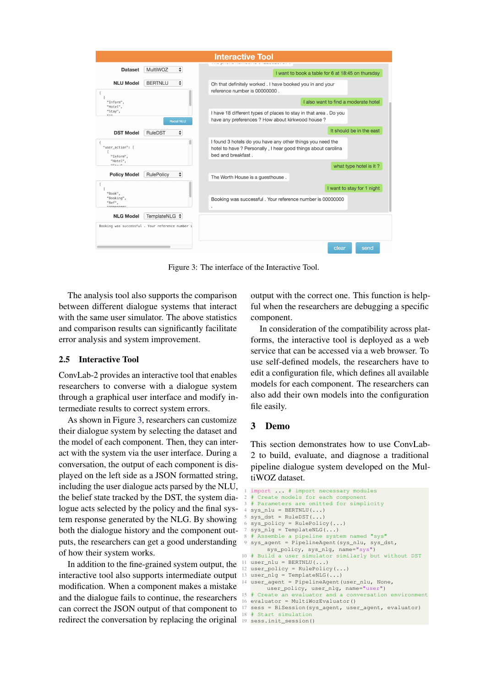<span id="page-4-1"></span>

|                                                 |                                                  | <b>Interactive Tool</b>                                                                                                                           |
|-------------------------------------------------|--------------------------------------------------|---------------------------------------------------------------------------------------------------------------------------------------------------|
| <b>Dataset</b>                                  | ÷<br>MultiWOZ                                    | I want to book a table for 6 at 18:45 on thursday                                                                                                 |
| <b>NLU Model</b>                                | $\div$<br><b>BERTNLU</b>                         | Oh that definitely worked . I have booked you in and your<br>reference number is 00000000.                                                        |
| "Inform",<br>"Hotel",                           |                                                  | I also want to find a moderate hotel                                                                                                              |
| "Stav".<br>0.4.0                                | <b>Recall NLU</b>                                | I have 18 different types of places to stay in that area. Do you<br>have any preferences ? How about kirkwood house ?                             |
| <b>DST Model</b>                                | ÷<br>RuleDST                                     | It should be in the east                                                                                                                          |
| "user_action": [<br>"Inform",                   |                                                  | I found 3 hotels do you have any other things you need the<br>hotel to have ? Personally, I hear good things about carolina<br>bed and breakfast. |
| "Hotel",<br>$11C + 2111$                        |                                                  | what type hotel is it?                                                                                                                            |
| <b>Policy Model</b>                             | ÷<br>RulePolicy                                  | The Worth House is a guesthouse.                                                                                                                  |
|                                                 |                                                  | I want to stay for 1 night                                                                                                                        |
| "Book",<br>"Booking",<br>"Ref",<br>0.0000000000 |                                                  | Booking was successful . Your reference number is 00000000                                                                                        |
| <b>NLG Model</b>                                | TemplateNLG ↓                                    |                                                                                                                                                   |
|                                                 | Booking was successful . Your reference number i |                                                                                                                                                   |
|                                                 |                                                  | clear<br>send                                                                                                                                     |

Figure 3: The interface of the Interactive Tool.

The analysis tool also supports the comparison between different dialogue systems that interact with the same user simulator. The above statistics and comparison results can significantly facilitate error analysis and system improvement.

#### 2.5 Interactive Tool

ConvLab-2 provides an interactive tool that enables researchers to converse with a dialogue system through a graphical user interface and modify intermediate results to correct system errors.

As shown in Figure [3,](#page-4-1) researchers can customize their dialogue system by selecting the dataset and the model of each component. Then, they can interact with the system via the user interface. During a conversation, the output of each component is displayed on the left side as a JSON formatted string, including the user dialogue acts parsed by the NLU, the belief state tracked by the DST, the system dialogue acts selected by the policy and the final system response generated by the NLG. By showing both the dialogue history and the component outputs, the researchers can get a good understanding of how their system works.

In addition to the fine-grained system output, the interactive tool also supports intermediate output modification. When a component makes a mistake and the dialogue fails to continue, the researchers can correct the JSON output of that component to redirect the conversation by replacing the original 19 sess.init\_session()

output with the correct one. This function is helpful when the researchers are debugging a specific component.

In consideration of the compatibility across platforms, the interactive tool is deployed as a web service that can be accessed via a web browser. To use self-defined models, the researchers have to edit a configuration file, which defines all available models for each component. The researchers can also add their own models into the configuration file easily.

### <span id="page-4-0"></span>3 Demo

This section demonstrates how to use ConvLab-2 to build, evaluate, and diagnose a traditional pipeline dialogue system developed on the MultiWOZ dataset.

```
1 import ... # import necessary modules
 2 # Create models for each component
3 # Parameters are omitted for simplicity
   sys\_nlu = BERTNLU(...)sys\_dst = RuleDST (...)
  sys\_policy = RulePolicy(...)sys\_nlg = TemplateNLG(...)
 8 # Assemble a pipeline system named "sys"
9 sys_agent = PipelineAgent(sys_nlu, sys_dst,
        sys_policy, sys_nlg, name="sys")
10 # Build a user simulator similarly but without DST
11 user nlu = BERTNLU(...)12 user_policy = RulePolicy(...)
13 user n \cdot 1g = TemplateNLG(...)
14 user_agent = PipelineAgent(user_nlu, None,
        user_policy, user_nlg, name="user")
15 # Create an evaluator and a conversation environment
16 evaluator = MultiWozEvaluator()
17 sess = BiSession(sys_agent, user_agent, evaluator)
18 # Start simulation
```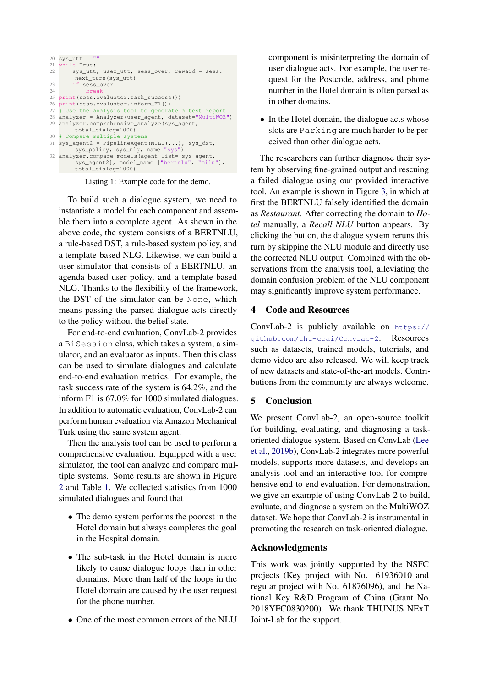

Listing 1: Example code for the demo.

To build such a dialogue system, we need to instantiate a model for each component and assemble them into a complete agent. As shown in the above code, the system consists of a BERTNLU, a rule-based DST, a rule-based system policy, and a template-based NLG. Likewise, we can build a user simulator that consists of a BERTNLU, an agenda-based user policy, and a template-based NLG. Thanks to the flexibility of the framework, the DST of the simulator can be None, which means passing the parsed dialogue acts directly to the policy without the belief state.

For end-to-end evaluation, ConvLab-2 provides a BiSession class, which takes a system, a simulator, and an evaluator as inputs. Then this class can be used to simulate dialogues and calculate end-to-end evaluation metrics. For example, the task success rate of the system is 64.2%, and the inform F1 is 67.0% for 1000 simulated dialogues. In addition to automatic evaluation, ConvLab-2 can perform human evaluation via Amazon Mechanical Turk using the same system agent.

Then the analysis tool can be used to perform a comprehensive evaluation. Equipped with a user simulator, the tool can analyze and compare multiple systems. Some results are shown in Figure [2](#page-3-0) and Table [1.](#page-3-1) We collected statistics from 1000 simulated dialogues and found that

- The demo system performs the poorest in the Hotel domain but always completes the goal in the Hospital domain.
- The sub-task in the Hotel domain is more likely to cause dialogue loops than in other domains. More than half of the loops in the Hotel domain are caused by the user request for the phone number.
- One of the most common errors of the NLU

component is misinterpreting the domain of user dialogue acts. For example, the user request for the Postcode, address, and phone number in the Hotel domain is often parsed as in other domains.

• In the Hotel domain, the dialogue acts whose slots are Parking are much harder to be perceived than other dialogue acts.

The researchers can further diagnose their system by observing fine-grained output and rescuing a failed dialogue using our provided interactive tool. An example is shown in Figure [3,](#page-4-1) in which at first the BERTNLU falsely identified the domain as *Restaurant*. After correcting the domain to *Hotel* manually, a *Recall NLU* button appears. By clicking the button, the dialogue system reruns this turn by skipping the NLU module and directly use the corrected NLU output. Combined with the observations from the analysis tool, alleviating the domain confusion problem of the NLU component may significantly improve system performance.

# 4 Code and Resources

ConvLab-2 is publicly available on [https://](https://github.com/thu-coai/ConvLab-2) [github.com/thu-coai/ConvLab-2](https://github.com/thu-coai/ConvLab-2). Resources such as datasets, trained models, tutorials, and demo video are also released. We will keep track of new datasets and state-of-the-art models. Contributions from the community are always welcome.

### 5 Conclusion

We present ConvLab-2, an open-source toolkit for building, evaluating, and diagnosing a taskoriented dialogue system. Based on ConvLab [\(Lee](#page-6-0) [et al.,](#page-6-0) [2019b\)](#page-6-0), ConvLab-2 integrates more powerful models, supports more datasets, and develops an analysis tool and an interactive tool for comprehensive end-to-end evaluation. For demonstration, we give an example of using ConvLab-2 to build, evaluate, and diagnose a system on the MultiWOZ dataset. We hope that ConvLab-2 is instrumental in promoting the research on task-oriented dialogue.

### Acknowledgments

This work was jointly supported by the NSFC projects (Key project with No. 61936010 and regular project with No. 61876096), and the National Key R&D Program of China (Grant No. 2018YFC0830200). We thank THUNUS NExT Joint-Lab for the support.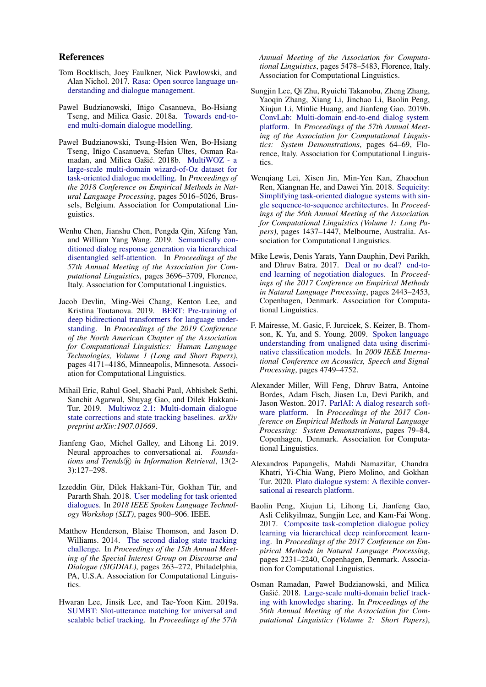#### References

- <span id="page-6-7"></span>Tom Bocklisch, Joey Faulkner, Nick Pawlowski, and Alan Nichol. 2017. [Rasa: Open source language un](http://arxiv.org/abs/1712.05181)[derstanding and dialogue management.](http://arxiv.org/abs/1712.05181)
- <span id="page-6-14"></span>Pawel Budzianowski, Iñigo Casanueva, Bo-Hsiang Tseng, and Milica Gasic. 2018a. [Towards end-to](https://pdfs.semanticscholar.org/47d0/1eb59cd37d16201fcae964bd1d2b49cfb55e.pdf)[end multi-domain dialogue modelling.](https://pdfs.semanticscholar.org/47d0/1eb59cd37d16201fcae964bd1d2b49cfb55e.pdf)
- <span id="page-6-2"></span>Paweł Budzianowski, Tsung-Hsien Wen, Bo-Hsiang Tseng, Iñigo Casanueva, Stefan Ultes, Osman Ra-madan, and Milica Gašić. 2018b. [MultiWOZ - a](https://doi.org/10.18653/v1/D18-1547) [large-scale multi-domain wizard-of-Oz dataset for](https://doi.org/10.18653/v1/D18-1547) [task-oriented dialogue modelling.](https://doi.org/10.18653/v1/D18-1547) In *Proceedings of the 2018 Conference on Empirical Methods in Natural Language Processing*, pages 5016–5026, Brussels, Belgium. Association for Computational Linguistics.
- <span id="page-6-15"></span>Wenhu Chen, Jianshu Chen, Pengda Qin, Xifeng Yan, and William Yang Wang. 2019. [Semantically con](https://doi.org/10.18653/v1/P19-1360)[ditioned dialog response generation via hierarchical](https://doi.org/10.18653/v1/P19-1360) [disentangled self-attention.](https://doi.org/10.18653/v1/P19-1360) In *Proceedings of the 57th Annual Meeting of the Association for Computational Linguistics*, pages 3696–3709, Florence, Italy. Association for Computational Linguistics.
- <span id="page-6-11"></span>Jacob Devlin, Ming-Wei Chang, Kenton Lee, and Kristina Toutanova. 2019. [BERT: Pre-training of](https://doi.org/10.18653/v1/N19-1423) [deep bidirectional transformers for language under](https://doi.org/10.18653/v1/N19-1423)[standing.](https://doi.org/10.18653/v1/N19-1423) In *Proceedings of the 2019 Conference of the North American Chapter of the Association for Computational Linguistics: Human Language Technologies, Volume 1 (Long and Short Papers)*, pages 4171–4186, Minneapolis, Minnesota. Association for Computational Linguistics.
- <span id="page-6-17"></span>Mihail Eric, Rahul Goel, Shachi Paul, Abhishek Sethi, Sanchit Agarwal, Shuyag Gao, and Dilek Hakkani-Tur. 2019. [Multiwoz 2.1: Multi-domain dialogue](https://arxiv.org/abs/1907.01669) [state corrections and state tracking baselines.](https://arxiv.org/abs/1907.01669) *arXiv preprint arXiv:1907.01669*.
- <span id="page-6-5"></span>Jianfeng Gao, Michel Galley, and Lihong Li. 2019. Neural approaches to conversational ai. *Foundations and Trends*( $\widehat{R}$ ) *in Information Retrieval*, 13(2-3):127–298.
- <span id="page-6-16"></span>Izzeddin Gür, Dilek Hakkani-Tür, Gokhan Tür, and Pararth Shah. 2018. [User modeling for task oriented](https://doi.org/10.1109/SLT.2018.8639652) [dialogues.](https://doi.org/10.1109/SLT.2018.8639652) In *2018 IEEE Spoken Language Technology Workshop (SLT)*, pages 900–906. IEEE.
- <span id="page-6-1"></span>Matthew Henderson, Blaise Thomson, and Jason D. Williams. 2014. [The second dialog state tracking](https://doi.org/10.3115/v1/W14-4337) [challenge.](https://doi.org/10.3115/v1/W14-4337) In *Proceedings of the 15th Annual Meeting of the Special Interest Group on Discourse and Dialogue (SIGDIAL)*, pages 263–272, Philadelphia, PA, U.S.A. Association for Computational Linguistics.
- <span id="page-6-13"></span>Hwaran Lee, Jinsik Lee, and Tae-Yoon Kim. 2019a. [SUMBT: Slot-utterance matching for universal and](https://doi.org/10.18653/v1/P19-1546) [scalable belief tracking.](https://doi.org/10.18653/v1/P19-1546) In *Proceedings of the 57th*

*Annual Meeting of the Association for Computational Linguistics*, pages 5478–5483, Florence, Italy. Association for Computational Linguistics.

- <span id="page-6-0"></span>Sungjin Lee, Qi Zhu, Ryuichi Takanobu, Zheng Zhang, Yaoqin Zhang, Xiang Li, Jinchao Li, Baolin Peng, Xiujun Li, Minlie Huang, and Jianfeng Gao. 2019b. [ConvLab: Multi-domain end-to-end dialog system](https://doi.org/10.18653/v1/P19-3011) [platform.](https://doi.org/10.18653/v1/P19-3011) In *Proceedings of the 57th Annual Meeting of the Association for Computational Linguistics: System Demonstrations*, pages 64–69, Florence, Italy. Association for Computational Linguistics.
- <span id="page-6-4"></span>Wenqiang Lei, Xisen Jin, Min-Yen Kan, Zhaochun Ren, Xiangnan He, and Dawei Yin. 2018. [Sequicity:](https://doi.org/10.18653/v1/P18-1133) [Simplifying task-oriented dialogue systems with sin](https://doi.org/10.18653/v1/P18-1133)[gle sequence-to-sequence architectures.](https://doi.org/10.18653/v1/P18-1133) In *Proceedings of the 56th Annual Meeting of the Association for Computational Linguistics (Volume 1: Long Papers)*, pages 1437–1447, Melbourne, Australia. Association for Computational Linguistics.
- <span id="page-6-9"></span>Mike Lewis, Denis Yarats, Yann Dauphin, Devi Parikh, and Dhruv Batra. 2017. [Deal or no deal? end-to](https://doi.org/10.18653/v1/D17-1259)[end learning of negotiation dialogues.](https://doi.org/10.18653/v1/D17-1259) In *Proceedings of the 2017 Conference on Empirical Methods in Natural Language Processing*, pages 2443–2453, Copenhagen, Denmark. Association for Computational Linguistics.
- <span id="page-6-10"></span>F. Mairesse, M. Gasic, F. Jurcicek, S. Keizer, B. Thomson, K. Yu, and S. Young. 2009. [Spoken language](https://doi.org/10.1109/ICASSP.2009.4960692) [understanding from unaligned data using discrimi](https://doi.org/10.1109/ICASSP.2009.4960692)[native classification models.](https://doi.org/10.1109/ICASSP.2009.4960692) In *2009 IEEE International Conference on Acoustics, Speech and Signal Processing*, pages 4749–4752.
- <span id="page-6-6"></span>Alexander Miller, Will Feng, Dhruv Batra, Antoine Bordes, Adam Fisch, Jiasen Lu, Devi Parikh, and Jason Weston. 2017. [ParlAI: A dialog research soft](https://doi.org/10.18653/v1/D17-2014)[ware platform.](https://doi.org/10.18653/v1/D17-2014) In *Proceedings of the 2017 Conference on Empirical Methods in Natural Language Processing: System Demonstrations*, pages 79–84, Copenhagen, Denmark. Association for Computational Linguistics.
- <span id="page-6-8"></span>Alexandros Papangelis, Mahdi Namazifar, Chandra Khatri, Yi-Chia Wang, Piero Molino, and Gokhan Tur. 2020. [Plato dialogue system: A flexible conver](http://arxiv.org/abs/2001.06463)[sational ai research platform.](http://arxiv.org/abs/2001.06463)
- <span id="page-6-3"></span>Baolin Peng, Xiujun Li, Lihong Li, Jianfeng Gao, Asli Celikyilmaz, Sungjin Lee, and Kam-Fai Wong. 2017. [Composite task-completion dialogue policy](https://doi.org/10.18653/v1/D17-1237) [learning via hierarchical deep reinforcement learn](https://doi.org/10.18653/v1/D17-1237)[ing.](https://doi.org/10.18653/v1/D17-1237) In *Proceedings of the 2017 Conference on Empirical Methods in Natural Language Processing*, pages 2231–2240, Copenhagen, Denmark. Association for Computational Linguistics.
- <span id="page-6-12"></span>Osman Ramadan, Paweł Budzianowski, and Milica Gašić. 2018. [Large-scale multi-domain belief track](https://doi.org/10.18653/v1/P18-2069)[ing with knowledge sharing.](https://doi.org/10.18653/v1/P18-2069) In *Proceedings of the 56th Annual Meeting of the Association for Computational Linguistics (Volume 2: Short Papers)*,